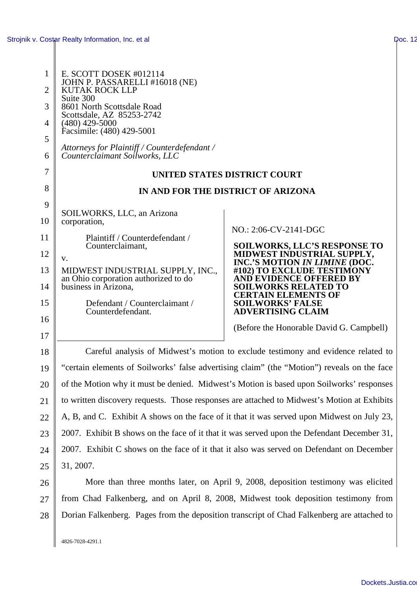| 1              | E. SCOTT DOSEK $#012114$                                                                    |                                                              |  |
|----------------|---------------------------------------------------------------------------------------------|--------------------------------------------------------------|--|
| $\overline{2}$ | JOHN P. PASSARELLI #16018 (NE)<br>KUTAK ROCK LLP<br>Suite 300                               |                                                              |  |
| 3              | 8601 North Scottsdale Road                                                                  |                                                              |  |
| 4              | Scottsdale, AZ 85253-2742<br>$(480)$ 429-5000                                               |                                                              |  |
| 5              | Facsimile: (480) 429-5001                                                                   |                                                              |  |
| 6              | Attorneys for Plaintiff / Counterdefendant /<br>Counterclaimant Soilworks, LLC              |                                                              |  |
| 7              | UNITED STATES DISTRICT COURT                                                                |                                                              |  |
| 8              | IN AND FOR THE DISTRICT OF ARIZONA                                                          |                                                              |  |
| 9              | SOILWORKS, LLC, an Arizona                                                                  |                                                              |  |
| 10             | corporation,                                                                                | NO.: 2:06-CV-2141-DGC                                        |  |
| 11             | Plaintiff / Counterdefendant /<br>Counterclaimant,                                          | <b>SOILWORKS, LLC'S RESPONSE TO</b>                          |  |
| 12             | V.                                                                                          | MIDWEST INDUSTRIAL SUPPLY,<br>INC.'S MOTION IN LIMINE (DOC.  |  |
| 13             | MIDWEST INDUSTRIAL SUPPLY, INC.,<br>an Ohio corporation authorized to do                    | #102) TO EXCLUDE TESTIMONY<br><b>AND EVIDENCE OFFERED BY</b> |  |
| 14             | business in Arizona,                                                                        | <b>SOILWORKS RELATED TO</b><br><b>CERTAIN ELEMENTS OF</b>    |  |
| 15             | Defendant / Counterclaimant /<br>Counterdefendant.                                          | <b>SOILWORKS' FALSE</b><br><b>ADVERTISING CLAIM</b>          |  |
| 16             |                                                                                             | (Before the Honorable David G. Campbell)                     |  |
| 17             |                                                                                             |                                                              |  |
| 18             | Careful analysis of Midwest's motion to exclude testimony and evidence related to           |                                                              |  |
| 19             | "certain elements of Soilworks' false advertising claim" (the "Motion") reveals on the face |                                                              |  |
| 20             | of the Motion why it must be denied. Midwest's Motion is based upon Soilworks' responses    |                                                              |  |
| 21             | to written discovery requests. Those responses are attached to Midwest's Motion at Exhibits |                                                              |  |
| 22             | A, B, and C. Exhibit A shows on the face of it that it was served upon Midwest on July 23,  |                                                              |  |
| 23             | 2007. Exhibit B shows on the face of it that it was served upon the Defendant December 31,  |                                                              |  |
| 24             | 2007. Exhibit C shows on the face of it that it also was served on Defendant on December    |                                                              |  |
| 25             | 31, 2007.                                                                                   |                                                              |  |
| 26             | More than three months later, on April 9, 2008, deposition testimony was elicited           |                                                              |  |
| 27             | from Chad Falkenberg, and on April 8, 2008, Midwest took deposition testimony from          |                                                              |  |
| 28             | Dorian Falkenberg. Pages from the deposition transcript of Chad Falkenberg are attached to  |                                                              |  |

4826-7028-4291.1

Dockets.Justia.co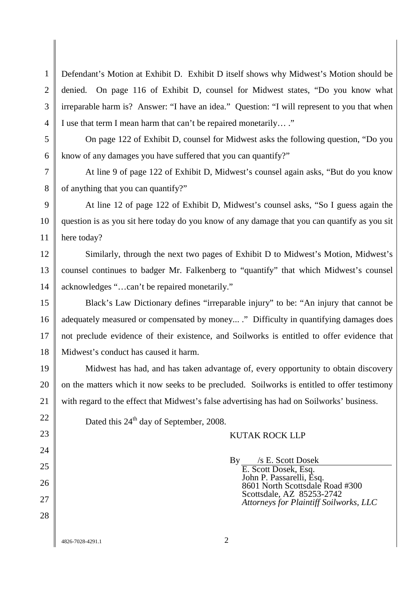1  $\mathcal{L}$ 3 4 Defendant's Motion at Exhibit D. Exhibit D itself shows why Midwest's Motion should be denied. On page 116 of Exhibit D, counsel for Midwest states, "Do you know what irreparable harm is? Answer: "I have an idea." Question: "I will represent to you that when I use that term I mean harm that can't be repaired monetarily… ."

On page 122 of Exhibit D, counsel for Midwest asks the following question, "Do you know of any damages you have suffered that you can quantify?"

At line 9 of page 122 of Exhibit D, Midwest's counsel again asks, "But do you know of anything that you can quantify?"

At line 12 of page 122 of Exhibit D, Midwest's counsel asks, "So I guess again the question is as you sit here today do you know of any damage that you can quantify as you sit here today?

Similarly, through the next two pages of Exhibit D to Midwest's Motion, Midwest's counsel continues to badger Mr. Falkenberg to "quantify" that which Midwest's counsel acknowledges "…can't be repaired monetarily."

Black's Law Dictionary defines "irreparable injury" to be: "An injury that cannot be adequately measured or compensated by money... ." Difficulty in quantifying damages does not preclude evidence of their existence, and Soilworks is entitled to offer evidence that Midwest's conduct has caused it harm.

Midwest has had, and has taken advantage of, every opportunity to obtain discovery on the matters which it now seeks to be precluded. Soilworks is entitled to offer testimony with regard to the effect that Midwest's false advertising has had on Soilworks' business.

Dated this  $24<sup>th</sup>$  day of September, 2008.

## KUTAK ROCK LLP

By /s E. Scott Dosek

E. Scott Dosek, Esq. John P. Passarelli, Esq. 8601 North Scottsdale Road #300 Scottsdale, AZ 85253-2742 *Attorneys for Plaintiff Soilworks, LLC*

4826-7028-4291.1 2

5

6

7

8

9

10

11

12

13

14

15

16

17

18

19

20

21

22

23

24

25

26

27

28